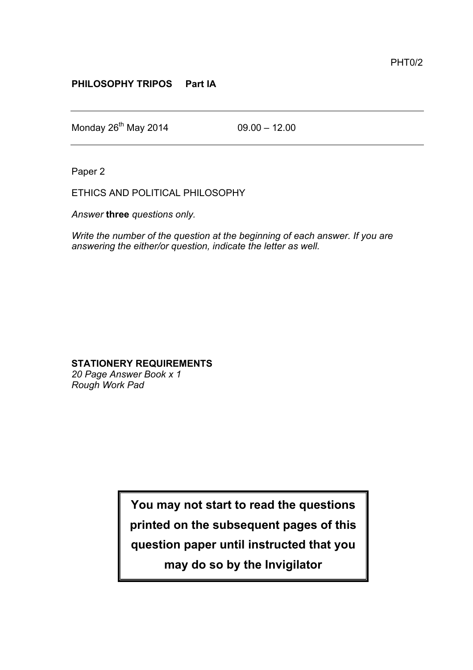## **PHILOSOPHY TRIPOS Part IA**

Monday  $26^{th}$  May 2014 09.00 – 12.00

Paper 2

ETHICS AND POLITICAL PHILOSOPHY

*Answer* **three** *questions only.*

*Write the number of the question at the beginning of each answer. If you are answering the either/or question, indicate the letter as well.*

## **STATIONERY REQUIREMENTS**

*20 Page Answer Book x 1 Rough Work Pad*

**You may not start to read the questions**

**printed on the subsequent pages of this**

**question paper until instructed that you**

**may do so by the Invigilator**